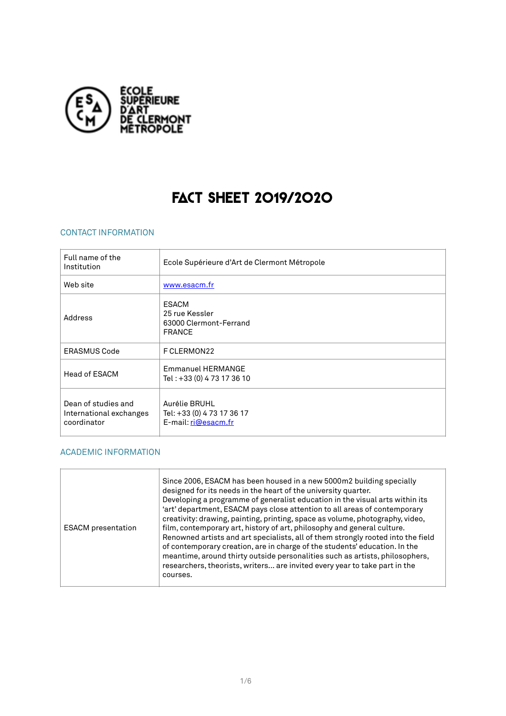

# FACT SHEET 2019/2020

## CONTACT INFORMATION

| Full name of the<br>Institution                               | Ecole Supérieure d'Art de Clermont Métropole                              |
|---------------------------------------------------------------|---------------------------------------------------------------------------|
| Web site                                                      | www.esacm.fr                                                              |
| Address                                                       | <b>ESACM</b><br>25 rue Kessler<br>63000 Clermont-Ferrand<br><b>FRANCE</b> |
| <b>ERASMUS Code</b>                                           | F CLERMON22                                                               |
| Head of ESACM                                                 | <b>Emmanuel HERMANGE</b><br>Tel: +33 (0) 4 73 17 36 10                    |
| Dean of studies and<br>International exchanges<br>coordinator | Aurélie BRUHL<br>Tel: +33 (0) 4 73 17 36 17<br>E-mail: ri@esacm.fr        |

#### ACADEMIC INFORMATION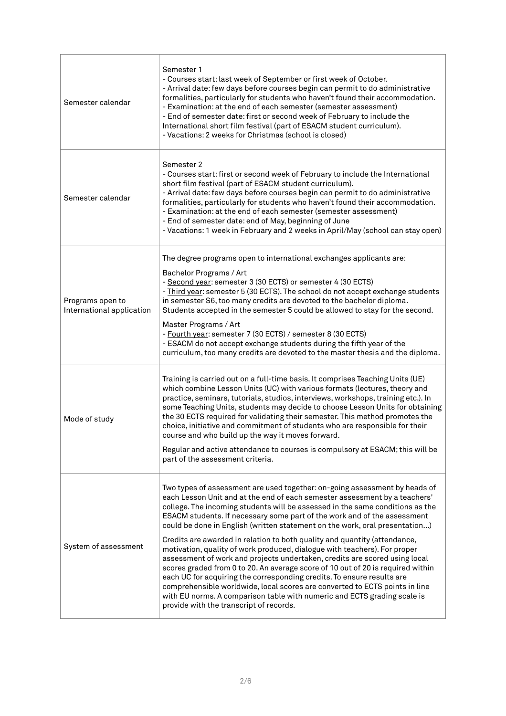| Semester calendar                             | Semester 1<br>- Courses start: last week of September or first week of October.<br>- Arrival date: few days before courses begin can permit to do administrative<br>formalities, particularly for students who haven't found their accommodation.<br>- Examination: at the end of each semester (semester assessment)<br>- End of semester date: first or second week of February to include the<br>International short film festival (part of ESACM student curriculum).<br>- Vacations: 2 weeks for Christmas (school is closed)                                                                                                                                                                                                                                                                                                                                                                                                                                                                              |
|-----------------------------------------------|-----------------------------------------------------------------------------------------------------------------------------------------------------------------------------------------------------------------------------------------------------------------------------------------------------------------------------------------------------------------------------------------------------------------------------------------------------------------------------------------------------------------------------------------------------------------------------------------------------------------------------------------------------------------------------------------------------------------------------------------------------------------------------------------------------------------------------------------------------------------------------------------------------------------------------------------------------------------------------------------------------------------|
| Semester calendar                             | Semester 2<br>- Courses start: first or second week of February to include the International<br>short film festival (part of ESACM student curriculum).<br>- Arrival date: few days before courses begin can permit to do administrative<br>formalities, particularly for students who haven't found their accommodation.<br>- Examination: at the end of each semester (semester assessment)<br>- End of semester date: end of May, beginning of June<br>- Vacations: 1 week in February and 2 weeks in April/May (school can stay open)                                                                                                                                                                                                                                                                                                                                                                                                                                                                       |
| Programs open to<br>International application | The degree programs open to international exchanges applicants are:<br>Bachelor Programs / Art<br>- Second year: semester 3 (30 ECTS) or semester 4 (30 ECTS)<br>- Third year: semester 5 (30 ECTS). The school do not accept exchange students<br>in semester S6, too many credits are devoted to the bachelor diploma.<br>Students accepted in the semester 5 could be allowed to stay for the second.<br>Master Programs / Art<br>- Fourth year: semester 7 (30 ECTS) / semester 8 (30 ECTS)<br>- ESACM do not accept exchange students during the fifth year of the<br>curriculum, too many credits are devoted to the master thesis and the diploma.                                                                                                                                                                                                                                                                                                                                                       |
| Mode of study                                 | Training is carried out on a full-time basis. It comprises Teaching Units (UE)<br>which combine Lesson Units (UC) with various formats (lectures, theory and<br>practice, seminars, tutorials, studios, interviews, workshops, training etc.). In<br>some Teaching Units, students may decide to choose Lesson Units for obtaining<br>the 30 ECTS required for validating their semester. This method promotes the<br>choice, initiative and commitment of students who are responsible for their<br>course and who build up the way it moves forward.<br>Regular and active attendance to courses is compulsory at ESACM; this will be<br>part of the assessment criteria.                                                                                                                                                                                                                                                                                                                                     |
| System of assessment                          | Two types of assessment are used together: on-going assessment by heads of<br>each Lesson Unit and at the end of each semester assessment by a teachers'<br>college. The incoming students will be assessed in the same conditions as the<br>ESACM students. If necessary some part of the work and of the assessment<br>could be done in English (written statement on the work, oral presentation)<br>Credits are awarded in relation to both quality and quantity (attendance,<br>motivation, quality of work produced, dialogue with teachers). For proper<br>assessment of work and projects undertaken, credits are scored using local<br>scores graded from 0 to 20. An average score of 10 out of 20 is required within<br>each UC for acquiring the corresponding credits. To ensure results are<br>comprehensible worldwide, local scores are converted to ECTS points in line<br>with EU norms. A comparison table with numeric and ECTS grading scale is<br>provide with the transcript of records. |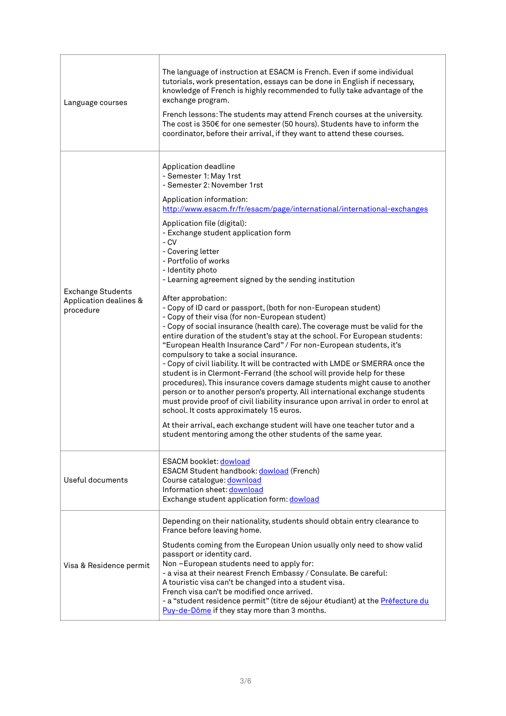| Language courses                                                | The language of instruction at ESACM is French. Even if some individual<br>tutorials, work presentation, essays can be done in English if necessary,<br>knowledge of French is highly recommended to fully take advantage of the<br>exchange program.<br>French lessons: The students may attend French courses at the university.<br>The cost is $350 \epsilon$ for one semester (50 hours). Students have to inform the<br>coordinator, before their arrival, if they want to attend these courses.                                                                                                                                                                                                                                                                                                                                                                                                                                                                                                                                                                                                                                                                                                                                                                                                                                                                                                                        |
|-----------------------------------------------------------------|------------------------------------------------------------------------------------------------------------------------------------------------------------------------------------------------------------------------------------------------------------------------------------------------------------------------------------------------------------------------------------------------------------------------------------------------------------------------------------------------------------------------------------------------------------------------------------------------------------------------------------------------------------------------------------------------------------------------------------------------------------------------------------------------------------------------------------------------------------------------------------------------------------------------------------------------------------------------------------------------------------------------------------------------------------------------------------------------------------------------------------------------------------------------------------------------------------------------------------------------------------------------------------------------------------------------------------------------------------------------------------------------------------------------------|
| <b>Exchange Students</b><br>Application dealines &<br>procedure | Application deadline<br>- Semester 1: May 1rst<br>- Semester 2: November 1rst<br>Application information:<br>http://www.esacm.fr/fr/esacm/page/international/international-exchanges<br>Application file (digital):<br>- Exchange student application form<br>- CV<br>- Covering letter<br>- Portfolio of works<br>- Identity photo<br>- Learning agreement signed by the sending institution<br>After approbation:<br>- Copy of ID card or passport, (both for non-European student)<br>- Copy of their visa (for non-European student)<br>- Copy of social insurance (health care). The coverage must be valid for the<br>entire duration of the student's stay at the school. For European students:<br>"European Health Insurance Card" / For non-European students, it's<br>compulsory to take a social insurance.<br>- Copy of civil liability. It will be contracted with LMDE or SMERRA once the<br>student is in Clermont-Ferrand (the school will provide help for these<br>procedures). This insurance covers damage students might cause to another<br>person or to another person's property. All international exchange students<br>must provide proof of civil liability insurance upon arrival in order to enrol at<br>school. It costs approximately 15 euros.<br>At their arrival, each exchange student will have one teacher tutor and a<br>student mentoring among the other students of the same year. |
| Useful documents                                                | <b>ESACM booklet: dowload</b><br><b>ESACM Student handbook: dowload (French)</b><br>Course catalogue: download<br>Information sheet: download<br>Exchange student application form: dowload                                                                                                                                                                                                                                                                                                                                                                                                                                                                                                                                                                                                                                                                                                                                                                                                                                                                                                                                                                                                                                                                                                                                                                                                                                  |
| Visa & Residence permit                                         | Depending on their nationality, students should obtain entry clearance to<br>France before leaving home.<br>Students coming from the European Union usually only need to show valid<br>passport or identity card.<br>Non-European students need to apply for:<br>- a visa at their nearest French Embassy / Consulate. Be careful:<br>A touristic visa can't be changed into a student visa.<br>French visa can't be modified once arrived.<br>- a "student residence permit" (titre de séjour étudiant) at the Préfecture du<br>Puy-de-Dôme if they stay more than 3 months.                                                                                                                                                                                                                                                                                                                                                                                                                                                                                                                                                                                                                                                                                                                                                                                                                                                |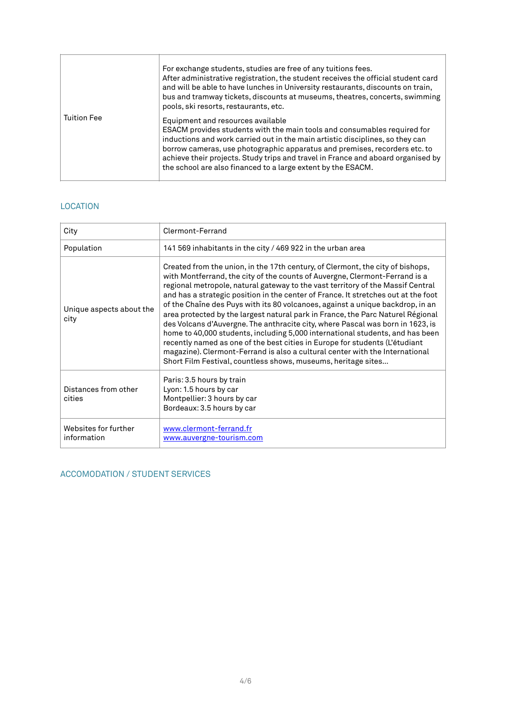|                    | For exchange students, studies are free of any tuitions fees.<br>After administrative registration, the student receives the official student card<br>and will be able to have lunches in University restaurants, discounts on train,<br>bus and tramway tickets, discounts at museums, theatres, concerts, swimming<br>pools, ski resorts, restaurants, etc.                                                                    |
|--------------------|----------------------------------------------------------------------------------------------------------------------------------------------------------------------------------------------------------------------------------------------------------------------------------------------------------------------------------------------------------------------------------------------------------------------------------|
| <b>Tuition Fee</b> | Equipment and resources available<br>ESACM provides students with the main tools and consumables required for<br>inductions and work carried out in the main artistic disciplines, so they can<br>borrow cameras, use photographic apparatus and premises, recorders etc. to<br>achieve their projects. Study trips and travel in France and aboard organised by<br>the school are also financed to a large extent by the ESACM. |

## LOCATION

| City                                | Clermont-Ferrand                                                                                                                                                                                                                                                                                                                                                                                                                                                                                                                                                                                                                                                                                                                                                                                                                                                                                               |
|-------------------------------------|----------------------------------------------------------------------------------------------------------------------------------------------------------------------------------------------------------------------------------------------------------------------------------------------------------------------------------------------------------------------------------------------------------------------------------------------------------------------------------------------------------------------------------------------------------------------------------------------------------------------------------------------------------------------------------------------------------------------------------------------------------------------------------------------------------------------------------------------------------------------------------------------------------------|
| Population                          | 141 569 inhabitants in the city / 469 922 in the urban area                                                                                                                                                                                                                                                                                                                                                                                                                                                                                                                                                                                                                                                                                                                                                                                                                                                    |
| Unique aspects about the<br>city    | Created from the union, in the 17th century, of Clermont, the city of bishops,<br>with Montferrand, the city of the counts of Auvergne, Clermont-Ferrand is a<br>regional metropole, natural gateway to the vast territory of the Massif Central<br>and has a strategic position in the center of France. It stretches out at the foot<br>of the Chaîne des Puys with its 80 volcanoes, against a unique backdrop, in an<br>area protected by the largest natural park in France, the Parc Naturel Régional<br>des Volcans d'Auvergne. The anthracite city, where Pascal was born in 1623, is<br>home to 40,000 students, including 5,000 international students, and has been<br>recently named as one of the best cities in Europe for students (L'étudiant<br>magazine). Clermont-Ferrand is also a cultural center with the International<br>Short Film Festival, countless shows, museums, heritage sites |
| Distances from other<br>cities      | Paris: 3.5 hours by train<br>Lyon: 1.5 hours by car<br>Montpellier: 3 hours by car<br>Bordeaux: 3.5 hours by car                                                                                                                                                                                                                                                                                                                                                                                                                                                                                                                                                                                                                                                                                                                                                                                               |
| Websites for further<br>information | www.clermont-ferrand.fr<br>www.auvergne-tourism.com                                                                                                                                                                                                                                                                                                                                                                                                                                                                                                                                                                                                                                                                                                                                                                                                                                                            |

# ACCOMODATION / STUDENT SERVICES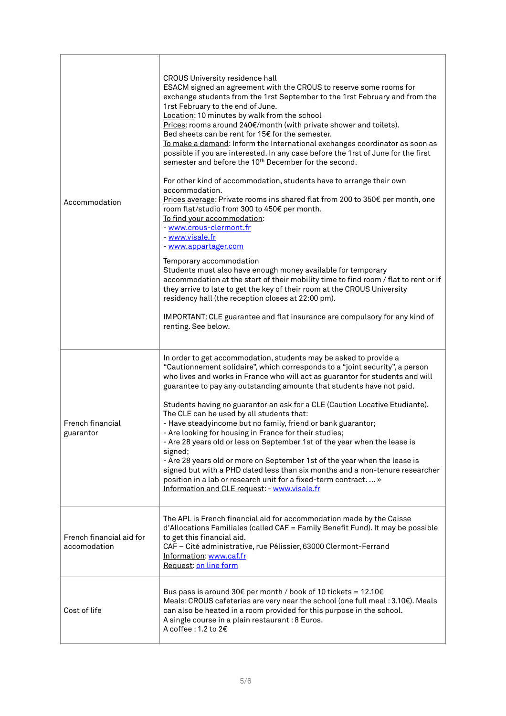| Accommodation                            | <b>CROUS University residence hall</b><br>ESACM signed an agreement with the CROUS to reserve some rooms for<br>exchange students from the 1rst September to the 1rst February and from the<br>1rst February to the end of June.<br>Location: 10 minutes by walk from the school<br>Prices: rooms around 240€/month (with private shower and toilets).<br>Bed sheets can be rent for 15€ for the semester.<br>To make a demand: Inform the International exchanges coordinator as soon as<br>possible if you are interested. In any case before the 1rst of June for the first<br>semester and before the 10 <sup>th</sup> December for the second.<br>For other kind of accommodation, students have to arrange their own<br>accommodation.<br>Prices average: Private rooms ins shared flat from 200 to 350€ per month, one<br>room flat/studio from 300 to 450€ per month.<br>To find your accommodation:<br>- www.crous-clermont.fr<br>- www.visale.fr<br>- www.appartager.com<br>Temporary accommodation<br>Students must also have enough money available for temporary<br>accommodation at the start of their mobility time to find room / flat to rent or if<br>they arrive to late to get the key of their room at the CROUS University<br>residency hall (the reception closes at 22:00 pm).<br>IMPORTANT: CLE guarantee and flat insurance are compulsory for any kind of<br>renting. See below. |
|------------------------------------------|-------------------------------------------------------------------------------------------------------------------------------------------------------------------------------------------------------------------------------------------------------------------------------------------------------------------------------------------------------------------------------------------------------------------------------------------------------------------------------------------------------------------------------------------------------------------------------------------------------------------------------------------------------------------------------------------------------------------------------------------------------------------------------------------------------------------------------------------------------------------------------------------------------------------------------------------------------------------------------------------------------------------------------------------------------------------------------------------------------------------------------------------------------------------------------------------------------------------------------------------------------------------------------------------------------------------------------------------------------------------------------------------------------------|
| French financial<br>guarantor            | In order to get accommodation, students may be asked to provide a<br>"Cautionnement solidaire", which corresponds to a "joint security", a person<br>who lives and works in France who will act as guarantor for students and will<br>guarantee to pay any outstanding amounts that students have not paid.<br>Students having no guarantor an ask for a CLE (Caution Locative Etudiante).<br>The CLE can be used by all students that:<br>- Have steadyincome but no family, friend or bank guarantor;<br>- Are looking for housing in France for their studies;<br>- Are 28 years old or less on September 1st of the year when the lease is<br>signed;<br>- Are 28 years old or more on September 1st of the year when the lease is<br>signed but with a PHD dated less than six months and a non-tenure researcher<br>position in a lab or research unit for a fixed-term contract »<br>Information and CLE request: - www.visale.fr                                                                                                                                                                                                                                                                                                                                                                                                                                                                    |
| French financial aid for<br>accomodation | The APL is French financial aid for accommodation made by the Caisse<br>d'Allocations Familiales (called CAF = Family Benefit Fund). It may be possible<br>to get this financial aid.<br>CAF - Cité administrative, rue Pélissier, 63000 Clermont-Ferrand<br>Information: www.caf.fr<br>Request: on line form                                                                                                                                                                                                                                                                                                                                                                                                                                                                                                                                                                                                                                                                                                                                                                                                                                                                                                                                                                                                                                                                                               |
| Cost of life                             | Bus pass is around 30€ per month / book of 10 tickets = 12.10€<br>Meals: CROUS cafeterias are very near the school (one full meal : 3.10€). Meals<br>can also be heated in a room provided for this purpose in the school.<br>A single course in a plain restaurant : 8 Euros.<br>A coffee : 1.2 to 2€                                                                                                                                                                                                                                                                                                                                                                                                                                                                                                                                                                                                                                                                                                                                                                                                                                                                                                                                                                                                                                                                                                      |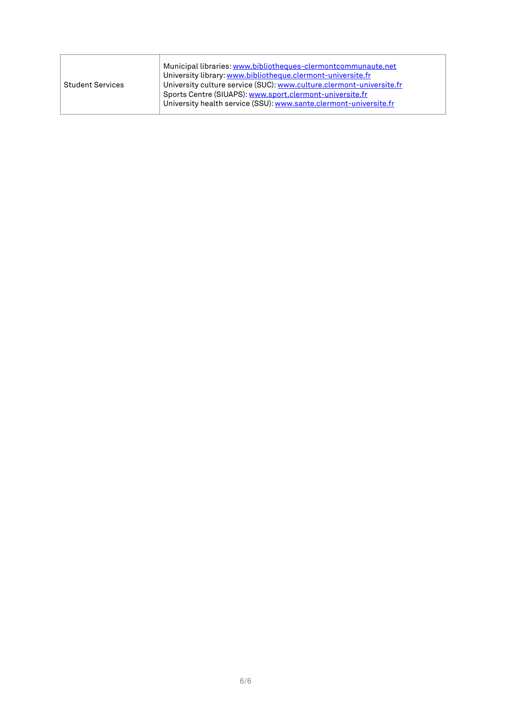| <b>Student Services</b> | Municipal libraries: www.bibliotheques-clermontcommunaute.net<br>University library: www.bibliotheque.clermont-universite.fr<br>University culture service (SUC): www.culture.clermont-universite.fr<br>Sports Centre (SIUAPS): www.sport.clermont-universite.fr<br>University health service (SSU): www.sante.clermont-universite.fr |
|-------------------------|---------------------------------------------------------------------------------------------------------------------------------------------------------------------------------------------------------------------------------------------------------------------------------------------------------------------------------------|
|-------------------------|---------------------------------------------------------------------------------------------------------------------------------------------------------------------------------------------------------------------------------------------------------------------------------------------------------------------------------------|